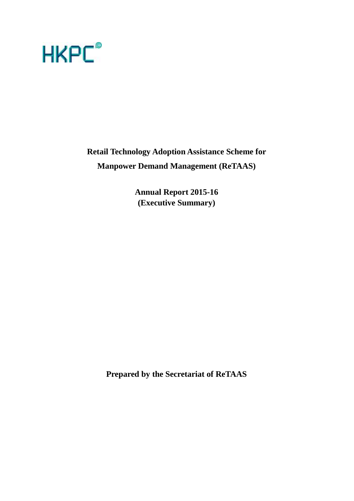

**Retail Technology Adoption Assistance Scheme for Manpower Demand Management (ReTAAS)**

> **Annual Report 2015-16 (Executive Summary)**

**Prepared by the Secretariat of ReTAAS**